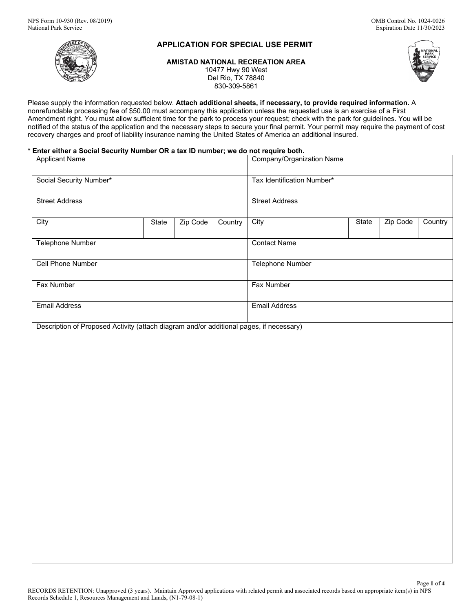# **APPLICATION FOR SPECIAL USE PERMIT**

**AMISTAD NATIONAL RECREATION AREA** 10477 Hwy 90 West Del Rio, TX 78840 830-309-5861



Please supply the information requested below. **Attach additional sheets, if necessary, to provide required information.** A nonrefundable processing fee of \$50.00 must accompany this application unless the requested use is an exercise of a First Amendment right. You must allow sufficient time for the park to process your request; check with the park for guidelines. You will be notified of the status of the application and the necessary steps to secure your final permit. Your permit may require the payment of cost recovery charges and proof of liability insurance naming the United States of America an additional insured.

## **\* Enter either a Social Security Number OR a tax ID number; we do not require both.**

| <b>Applicant Name</b>                                                                   |       |          | Company/Organization Name  |                      |  |       |          |         |
|-----------------------------------------------------------------------------------------|-------|----------|----------------------------|----------------------|--|-------|----------|---------|
| Social Security Number*                                                                 |       |          | Tax Identification Number* |                      |  |       |          |         |
| <b>Street Address</b>                                                                   |       |          | <b>Street Address</b>      |                      |  |       |          |         |
| City                                                                                    | State | Zip Code | Country                    | City                 |  | State | Zip Code | Country |
| Telephone Number                                                                        |       |          | <b>Contact Name</b>        |                      |  |       |          |         |
| Cell Phone Number                                                                       |       |          | <b>Telephone Number</b>    |                      |  |       |          |         |
| <b>Fax Number</b>                                                                       |       |          | Fax Number                 |                      |  |       |          |         |
| <b>Email Address</b>                                                                    |       |          |                            | <b>Email Address</b> |  |       |          |         |
| Description of Proposed Activity (attach diagram and/or additional pages, if necessary) |       |          |                            |                      |  |       |          |         |
|                                                                                         |       |          |                            |                      |  |       |          |         |
|                                                                                         |       |          |                            |                      |  |       |          |         |
|                                                                                         |       |          |                            |                      |  |       |          |         |
|                                                                                         |       |          |                            |                      |  |       |          |         |
|                                                                                         |       |          |                            |                      |  |       |          |         |
|                                                                                         |       |          |                            |                      |  |       |          |         |
|                                                                                         |       |          |                            |                      |  |       |          |         |
|                                                                                         |       |          |                            |                      |  |       |          |         |
|                                                                                         |       |          |                            |                      |  |       |          |         |
|                                                                                         |       |          |                            |                      |  |       |          |         |
|                                                                                         |       |          |                            |                      |  |       |          |         |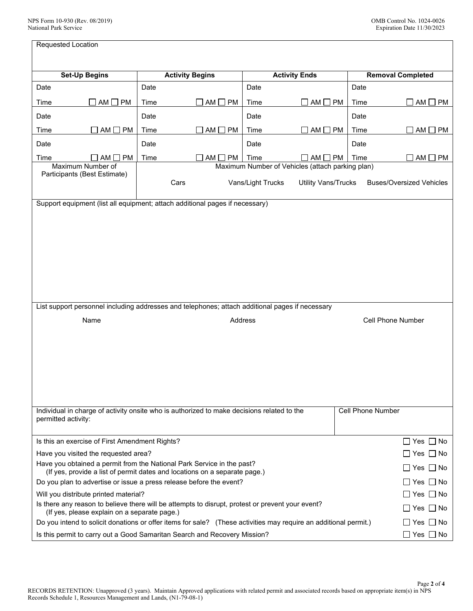| Requested Location                                                                                                                                                               |                                                                                                                |                                                                                            |                                                                                            |         |                                |                          |                          |  |
|----------------------------------------------------------------------------------------------------------------------------------------------------------------------------------|----------------------------------------------------------------------------------------------------------------|--------------------------------------------------------------------------------------------|--------------------------------------------------------------------------------------------|---------|--------------------------------|--------------------------|--------------------------|--|
|                                                                                                                                                                                  |                                                                                                                |                                                                                            |                                                                                            |         |                                |                          |                          |  |
|                                                                                                                                                                                  | <b>Set-Up Begins</b>                                                                                           |                                                                                            | <b>Activity Begins</b>                                                                     |         | <b>Activity Ends</b>           |                          | <b>Removal Completed</b> |  |
| Date                                                                                                                                                                             |                                                                                                                | Date                                                                                       |                                                                                            | Date    |                                | Date                     |                          |  |
| Time                                                                                                                                                                             | $AM \Box PM$                                                                                                   | Time                                                                                       | $AM \Box PM$                                                                               | Time    | $AM \Box PM$<br>$\blacksquare$ | Time                     | $\Box$ AM $\Box$ PM      |  |
| Date                                                                                                                                                                             |                                                                                                                | Date                                                                                       |                                                                                            | Date    |                                | Date                     |                          |  |
| Time                                                                                                                                                                             | $AM \Box PM$                                                                                                   | Time                                                                                       | $AM \Box PM$                                                                               | Time    | $AM \Box PM$                   | Time                     | $AM \Box PM$             |  |
| Date                                                                                                                                                                             |                                                                                                                | Date                                                                                       |                                                                                            | Date    |                                | Date                     |                          |  |
| Time                                                                                                                                                                             | $\Box$ PM<br>AM I                                                                                              | Time                                                                                       | AM [<br><b>PM</b>                                                                          | Time    | AM [<br><b>PM</b>              | Time                     | AM [<br><b>PM</b>        |  |
|                                                                                                                                                                                  | Maximum Number of                                                                                              | Maximum Number of Vehicles (attach parking plan)                                           |                                                                                            |         |                                |                          |                          |  |
| Participants (Best Estimate)                                                                                                                                                     |                                                                                                                | Vans/Light Trucks<br>Cars<br><b>Utility Vans/Trucks</b><br><b>Buses/Oversized Vehicles</b> |                                                                                            |         |                                |                          |                          |  |
|                                                                                                                                                                                  |                                                                                                                |                                                                                            | Support equipment (list all equipment; attach additional pages if necessary)               |         |                                |                          |                          |  |
|                                                                                                                                                                                  |                                                                                                                |                                                                                            |                                                                                            |         |                                |                          |                          |  |
|                                                                                                                                                                                  |                                                                                                                |                                                                                            |                                                                                            |         |                                |                          |                          |  |
|                                                                                                                                                                                  |                                                                                                                |                                                                                            |                                                                                            |         |                                |                          |                          |  |
|                                                                                                                                                                                  |                                                                                                                |                                                                                            |                                                                                            |         |                                |                          |                          |  |
|                                                                                                                                                                                  |                                                                                                                |                                                                                            |                                                                                            |         |                                |                          |                          |  |
|                                                                                                                                                                                  |                                                                                                                |                                                                                            |                                                                                            |         |                                |                          |                          |  |
|                                                                                                                                                                                  |                                                                                                                |                                                                                            |                                                                                            |         |                                |                          |                          |  |
|                                                                                                                                                                                  |                                                                                                                |                                                                                            |                                                                                            |         |                                |                          |                          |  |
|                                                                                                                                                                                  |                                                                                                                |                                                                                            |                                                                                            |         |                                |                          |                          |  |
| List support personnel including addresses and telephones; attach additional pages if necessary                                                                                  |                                                                                                                |                                                                                            |                                                                                            |         |                                |                          |                          |  |
|                                                                                                                                                                                  | Name                                                                                                           |                                                                                            |                                                                                            | Address |                                |                          | <b>Cell Phone Number</b> |  |
|                                                                                                                                                                                  |                                                                                                                |                                                                                            |                                                                                            |         |                                |                          |                          |  |
|                                                                                                                                                                                  |                                                                                                                |                                                                                            |                                                                                            |         |                                |                          |                          |  |
|                                                                                                                                                                                  |                                                                                                                |                                                                                            |                                                                                            |         |                                |                          |                          |  |
|                                                                                                                                                                                  |                                                                                                                |                                                                                            |                                                                                            |         |                                |                          |                          |  |
|                                                                                                                                                                                  |                                                                                                                |                                                                                            |                                                                                            |         |                                |                          |                          |  |
|                                                                                                                                                                                  |                                                                                                                |                                                                                            |                                                                                            |         |                                |                          |                          |  |
|                                                                                                                                                                                  |                                                                                                                |                                                                                            |                                                                                            |         |                                |                          |                          |  |
| permitted activity:                                                                                                                                                              |                                                                                                                |                                                                                            | Individual in charge of activity onsite who is authorized to make decisions related to the |         |                                | <b>Cell Phone Number</b> |                          |  |
|                                                                                                                                                                                  |                                                                                                                |                                                                                            |                                                                                            |         |                                |                          |                          |  |
|                                                                                                                                                                                  | Is this an exercise of First Amendment Rights?                                                                 |                                                                                            |                                                                                            |         |                                |                          | Yes    No                |  |
| Have you visited the requested area?<br>∐ Yes ∐ No                                                                                                                               |                                                                                                                |                                                                                            |                                                                                            |         |                                |                          |                          |  |
| Have you obtained a permit from the National Park Service in the past?<br>∐ Yes ∐ No<br>(If yes, provide a list of permit dates and locations on a separate page.)               |                                                                                                                |                                                                                            |                                                                                            |         |                                |                          |                          |  |
| Do you plan to advertise or issue a press release before the event?<br>   Yes    No                                                                                              |                                                                                                                |                                                                                            |                                                                                            |         |                                |                          |                          |  |
|                                                                                                                                                                                  | Will you distribute printed material?                                                                          |                                                                                            |                                                                                            |         |                                |                          | Yes    No                |  |
|                                                                                                                                                                                  | Is there any reason to believe there will be attempts to disrupt, protest or prevent your event?<br>Yes     No |                                                                                            |                                                                                            |         |                                |                          |                          |  |
| (If yes, please explain on a separate page.)<br>Do you intend to solicit donations or offer items for sale? (These activities may require an additional permit.)<br>   Yes    No |                                                                                                                |                                                                                            |                                                                                            |         |                                |                          |                          |  |
| Is this permit to carry out a Good Samaritan Search and Recovery Mission?<br>$\Box$ Yes $\Box$ No                                                                                |                                                                                                                |                                                                                            |                                                                                            |         |                                |                          |                          |  |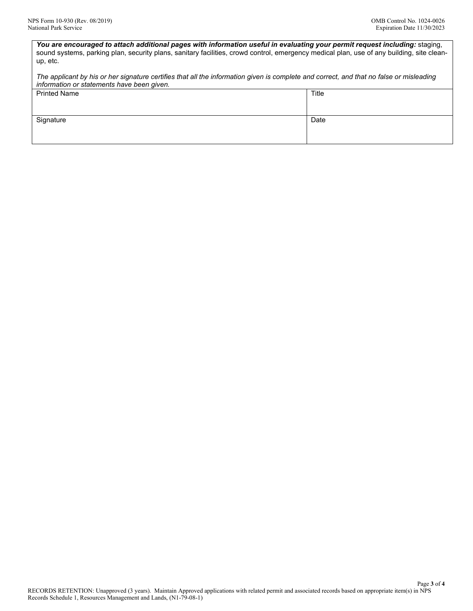*You are encouraged to attach additional pages with information useful in evaluating your permit request including:* staging, sound systems, parking plan, security plans, sanitary facilities, crowd control, emergency medical plan, use of any building, site cleanup, etc.

*The applicant by his or her signature certifies that all the information given is complete and correct, and that no false or misleading information or statements have been given.*

| <b>Printed Name</b> | Title |
|---------------------|-------|
| Signature           | Date  |
|                     |       |